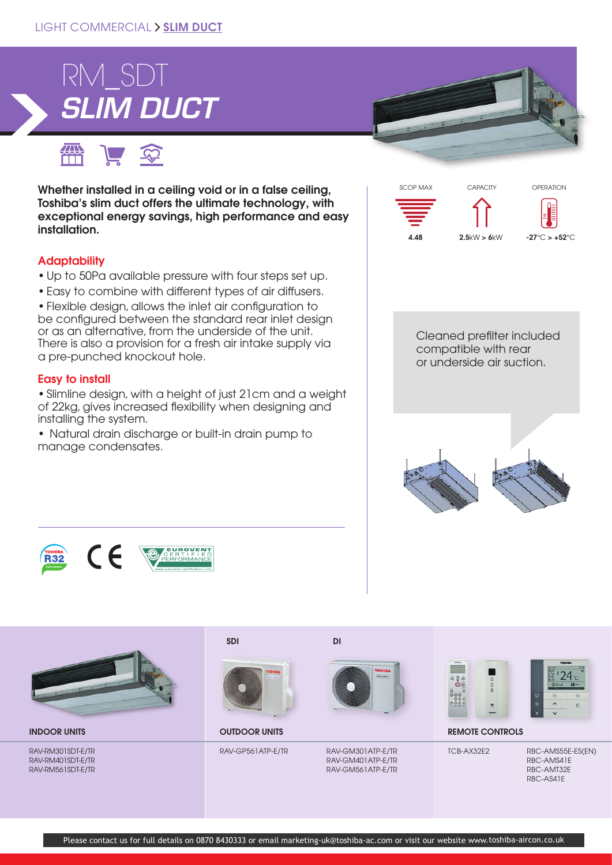

● 戸空

Whether installed in a ceiling void or in a false ceiling, Toshiba's slim duct offers the ultimate technology, with exceptional energy savings, high performance and easy installation.

# **Adaptability**

- Up to 50Pa available pressure with four steps set up.
- Easy to combine with different types of air diffusers.

• Flexible design, allows the inlet air configuration to be configured between the standard rear inlet design or as an alternative, from the underside of the unit. There is also a provision for a fresh air intake supply via a pre-punched knockout hole.

## Easy to install

• Slimline design, with a height of just 21cm and a weight of 22kg, gives increased flexibility when designing and installing the system.

• Natural drain discharge or built-in drain pump to manage condensates.





Cleaned prefilter included compatible with rear or underside air suction.







RAV-RM301SDT-E/TR RAV-RM401SDT-E/TR RAV-RM561SDT-E/TR



RAV-GP561ATP-E/TR RAV-GM301ATP-E/TR









INDOOR UNITS **EMOTE CONTROLS** OUTDOOR UNITS **OUTDOOR UNITS REMOTE CONTROLS** 

RAV-GM401ATP-E/TR RAV-GM561ATP-E/TR

TCB-AX32E2 RBC-AMS55E-ES(EN) RBC-AMS41E RBC-AMT32E RBC-AS41E

SDI DI